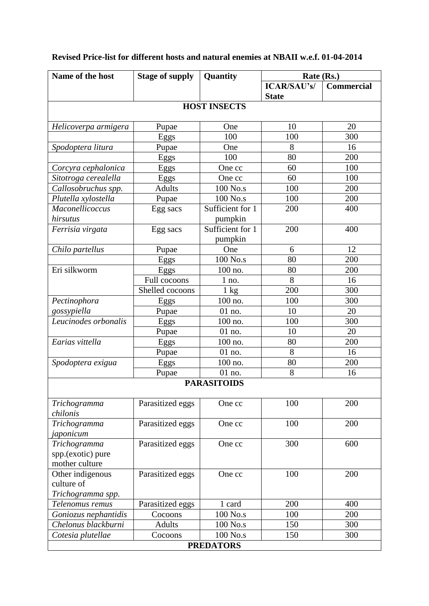| Name of the host               | <b>Stage of supply</b> | Quantity                    | Rate (Rs.)                         |                   |
|--------------------------------|------------------------|-----------------------------|------------------------------------|-------------------|
|                                |                        |                             | <b>ICAR/SAU's/</b><br><b>State</b> | <b>Commercial</b> |
|                                |                        | <b>HOST INSECTS</b>         |                                    |                   |
| Helicoverpa armigera           | Pupae                  | One                         | 10                                 | 20                |
|                                | Eggs                   | 100                         | 100                                | 300               |
| Spodoptera litura              | Pupae                  | One                         | 8                                  | 16                |
|                                | Eggs                   | 100                         | 80                                 | 200               |
| Corcyra cephalonica            | Eggs                   | One cc                      | 60                                 | 100               |
| Sitotroga cerealella           | Eggs                   | One cc                      | 60                                 | 100               |
| Callosobruchus spp.            | <b>Adults</b>          | 100 No.s                    | 100                                | 200               |
| Plutella xylostella            | Pupae                  | 100 No.s                    | 100                                | 200               |
| Maconellicoccus                | Egg sacs               | Sufficient for 1            | 200                                | 400               |
| hirsutus                       |                        | pumpkin                     |                                    |                   |
| Ferrisia virgata               | Egg sacs               | Sufficient for 1<br>pumpkin | 200                                | 400               |
| Chilo partellus                | Pupae                  | One                         | 6                                  | 12                |
|                                | Eggs                   | 100 No.s                    | 80                                 | 200               |
| Eri silkworm                   | Eggs                   | 100 no.                     | 80                                 | 200               |
|                                | Full cocoons           | $1$ no.                     | 8                                  | 16                |
|                                | Shelled cocoons        | $1 \text{ kg}$              | 200                                | 300               |
| Pectinophora                   | Eggs                   | 100 no.                     | 100                                | 300               |
| gossypiella                    | Pupae                  | 01 no.                      | 10                                 | 20                |
| Leucinodes orbonalis           | Eggs                   | 100 no.                     | 100                                | 300               |
|                                | Pupae                  | 01 no.                      | 10                                 | 20                |
| Earias vittella                | Eggs                   | 100 no.                     | 80                                 | 200               |
|                                | Pupae                  | 01 no.                      | 8                                  | 16                |
| Spodoptera exigua              | Eggs                   | 100 no.                     | 80                                 | 200               |
|                                | Pupae                  | 01 no.                      | 8                                  | 16                |
|                                |                        | <b>PARASITOIDS</b>          |                                    |                   |
| Trichogramma<br>chilonis       | Parasitized eggs       | One cc                      | 100                                | 200               |
| Trichogramma                   | Parasitized eggs       | One cc                      | 100                                | 200               |
| japonicum                      |                        |                             |                                    |                   |
| Trichogramma                   | Parasitized eggs       | One cc                      | 300                                | 600               |
| spp.(exotic) pure              |                        |                             |                                    |                   |
| mother culture                 |                        |                             |                                    |                   |
| Other indigenous<br>culture of | Parasitized eggs       | One cc                      | 100                                | 200               |
| Trichogramma spp.              |                        |                             |                                    |                   |
| Telenomus remus                | Parasitized eggs       | 1 card                      | 200                                | 400               |
| Goniozus nephantidis           | Cocoons                | 100 No.s                    | 100                                | 200               |
| Chelonus blackburni            | <b>Adults</b>          | 100 No.s                    | 150                                | 300               |
| Cotesia plutellae              | Cocoons                | 100 No.s                    | 150                                | 300               |
|                                |                        | <b>PREDATORS</b>            |                                    |                   |

## **Revised Price-list for different hosts and natural enemies at NBAII w.e.f. 01-04-2014**